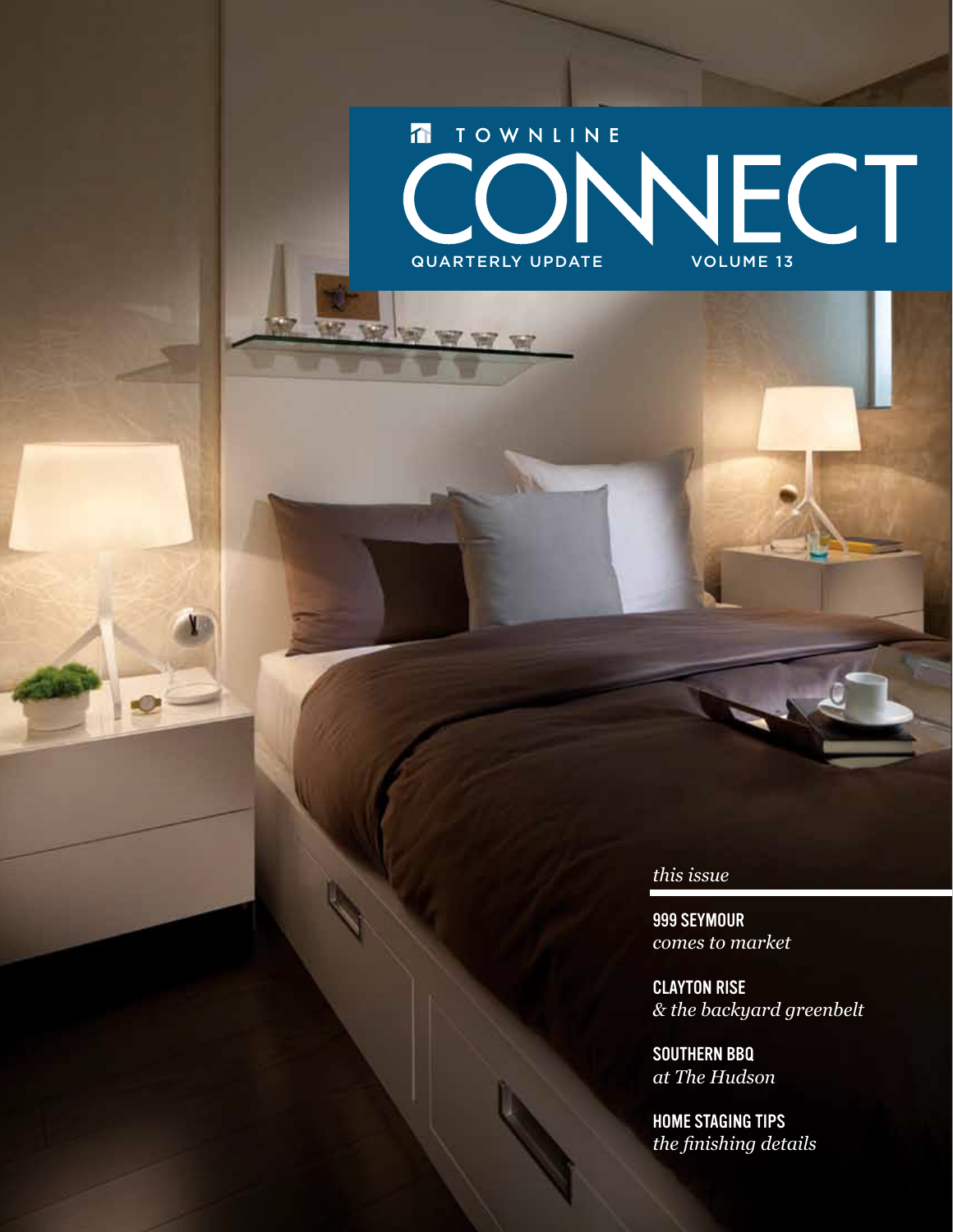# $\overline{\mathbf{D}}$ TOWNLINE CONNECT

*this issue*

999 Seymour *comes to market*

Clayton Rise *& the backyard greenbelt*

southern bbq *at The Hudson*

Home staging tips *the finishing details*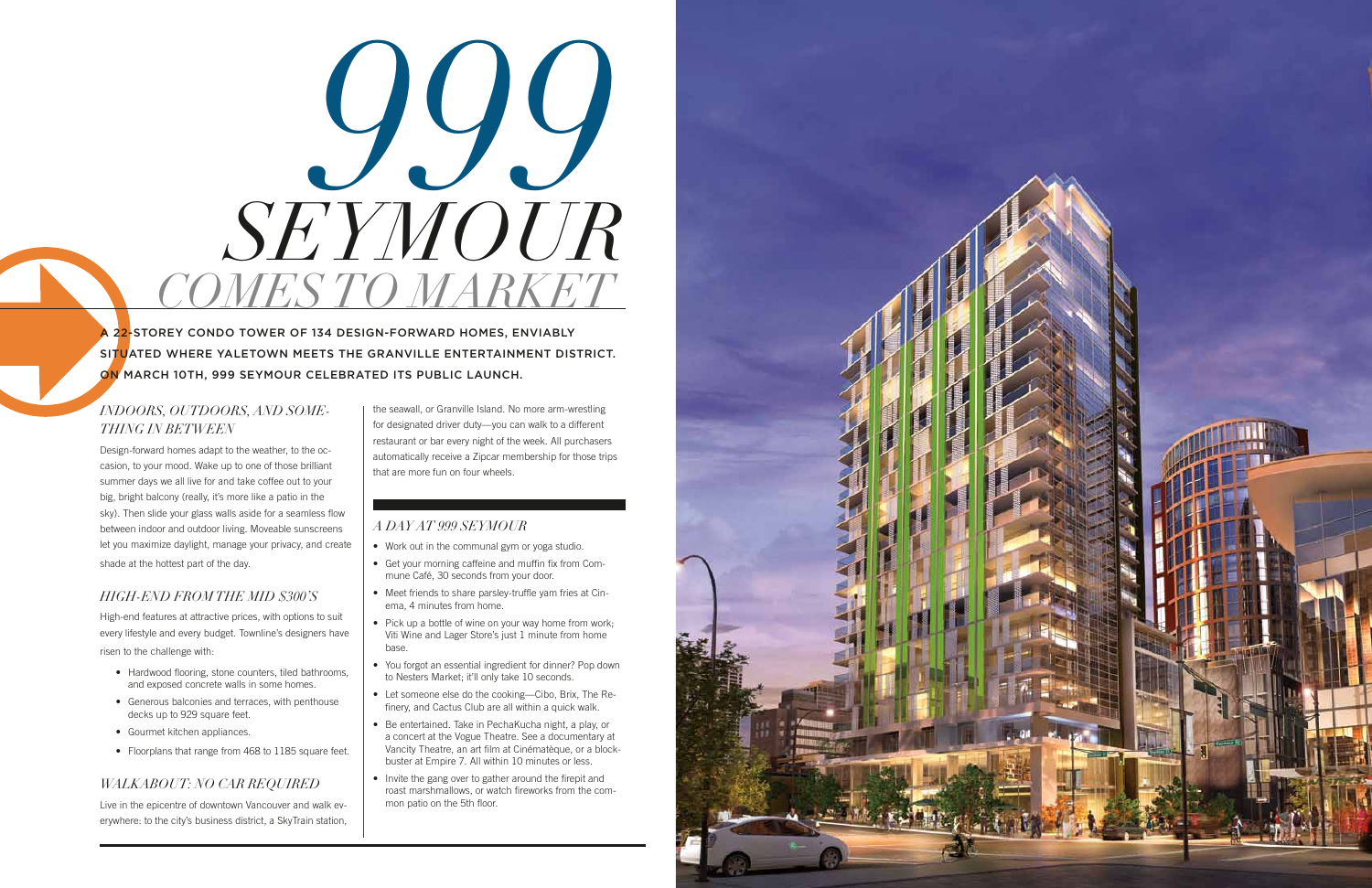# *SEYMOUR* 999<br>1999 *Comes to market*

22-STOREY CONDO TOWER OF 134 DESIGN-FORWARD HOMES, ENVIABLY situated where Yaletown meets the Granville Entertainment District. On March 10th, 999 Seymour celebrated its public launch.

# *Indoors, Outdoors, and Something in Between*

Design-forward homes adapt to the weather, to the occasion, to your mood. Wake up to one of those brilliant summer days we all live for and take coffee out to your big, bright balcony (really, it's more like a patio in the sky). Then slide your glass walls aside for a seamless flow between indoor and outdoor living. Moveable sunscreens let you maximize daylight, manage your privacy, and create shade at the hottest part of the day.

# *High-end from the Mid \$300's*

High-end features at attractive prices, with options to suit every lifestyle and every budget. Townline's designers have

risen to the challenge with:

- Hardwood flooring, stone counters, tiled bathrooms, and exposed concrete walls in some homes.
- Generous balconies and terraces, with penthouse decks up to 929 square feet.
- Gourmet kitchen appliances.
- Floorplans that range from 468 to 1185 square feet.

# *Walkabout: No Car Required*

Live in the epicentre of downtown Vancouver and walk everywhere: to the city's business district, a SkyTrain station,

- Work out in the communal gym or yoga studio.
- Get your morning caffeine and muffin fix from Commune Café, 30 seconds from your door.
- Meet friends to share parsley-truffle yam fries at Cinema, 4 minutes from home.
- Pick up a bottle of wine on your way home from work; Viti Wine and Lager Store's just 1 minute from home base.
- You forgot an essential ingredient for dinner? Pop down to Nesters Market; it'll only take 10 seconds.
- Let someone else do the cooking—Cibo, Brix, The Refinery, and Cactus Club are all within a quick walk.
- Be entertained. Take in PechaKucha night, a play, or a concert at the Vogue Theatre. See a documentary at Vancity Theatre, an art film at Cinématèque, or a blockbuster at Empire 7. All within 10 minutes or less.
- Invite the gang over to gather around the firepit and roast marshmallows, or watch fireworks from the common patio on the 5th floor.



the seawall, or Granville Island. No more arm-wrestling for designated driver duty—you can walk to a different restaurant or bar every night of the week. All purchasers automatically receive a Zipcar membership for those trips that are more fun on four wheels.

# *A Day at 999 Seymour*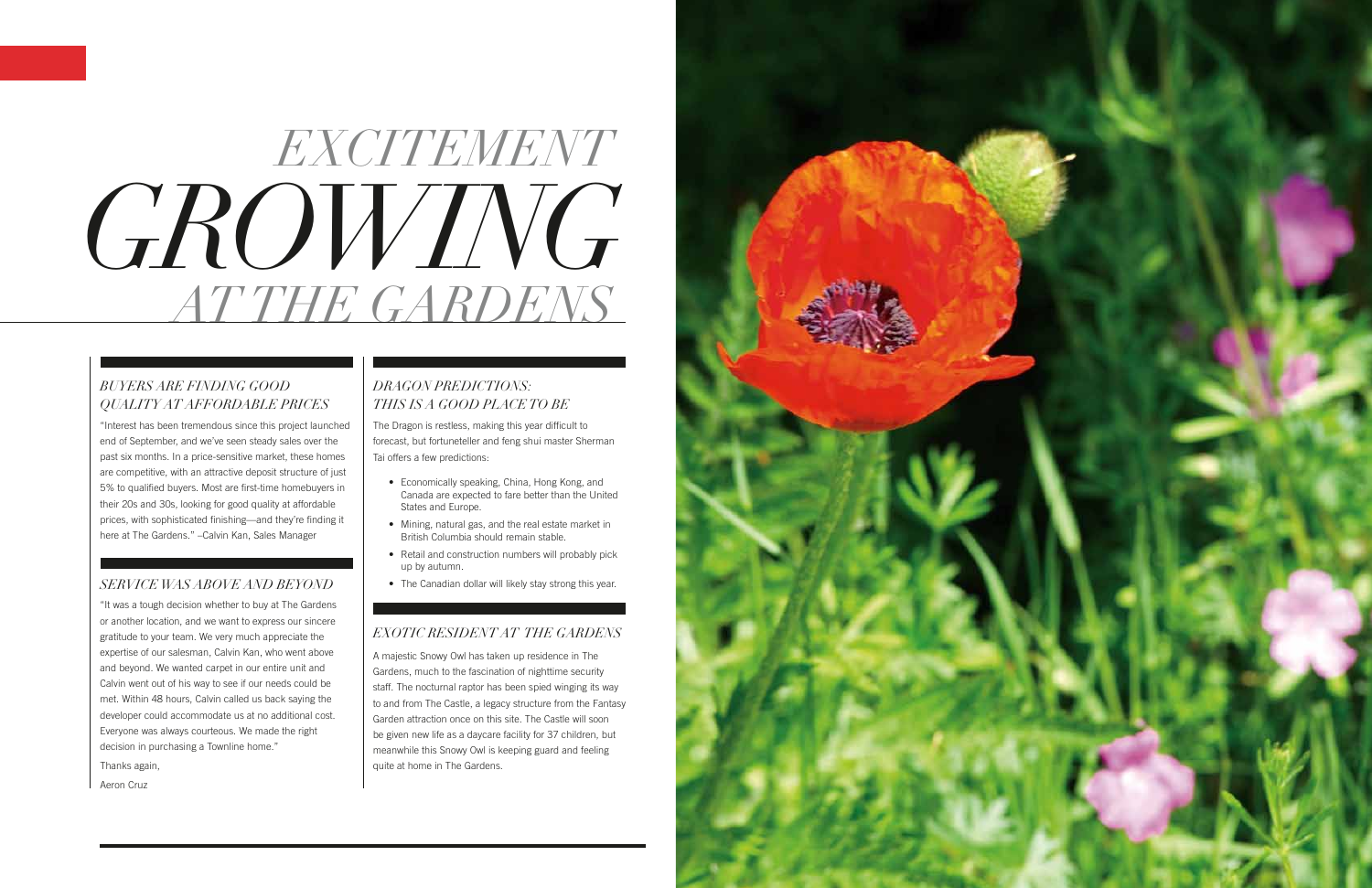# *GROWING ATTHE GARDENS EXCITEMENT*

# *Buyers Are Finding Good Quality at Affordable Prices*

"Interest has been tremendous since this project launched end of September, and we've seen steady sales over the past six months. In a price-sensitive market, these homes are competitive, with an attractive deposit structure of just 5% to qualified buyers. Most are first-time homebuyers in their 20s and 30s, looking for good quality at affordable prices, with sophisticated finishing—and they're finding it here at The Gardens." –Calvin Kan, Sales Manager

# *ServiceWas Above and Beyond*

- • Economically speaking, China, Hong Kong, and Canada are expected to fare better than the United States and Europe.
- Mining, natural gas, and the real estate market in British Columbia should remain stable.
- Retail and construction numbers will probably pick up by autumn.
- The Canadian dollar will likely stay strong this year.

"It was a tough decision whether to buy at The Gardens or another location, and we want to express our sincere gratitude to your team. We very much appreciate the expertise of our salesman, Calvin Kan, who went above and beyond. We wanted carpet in our entire unit and Calvin went out of his way to see if our needs could be met. Within 48 hours, Calvin called us back saying the developer could accommodate us at no additional cost. Everyone was always courteous. We made the right decision in purchasing a Townline home." Thanks again,

Aeron Cruz

# *Dragon Predictions: This Is a Good Place to Be*

The Dragon is restless, making this year difficult to forecast, but fortuneteller and feng shui master Sherman Tai offers a few predictions:

# *Exotic Resident at The Gardens*

A majestic Snowy Owl has taken up residence in The Gardens, much to the fascination of nighttime security staff. The nocturnal raptor has been spied winging its way to and from The Castle, a legacy structure from the Fantasy Garden attraction once on this site. The Castle will soon be given new life as a daycare facility for 37 children, but meanwhile this Snowy Owl is keeping guard and feeling quite at home in The Gardens.

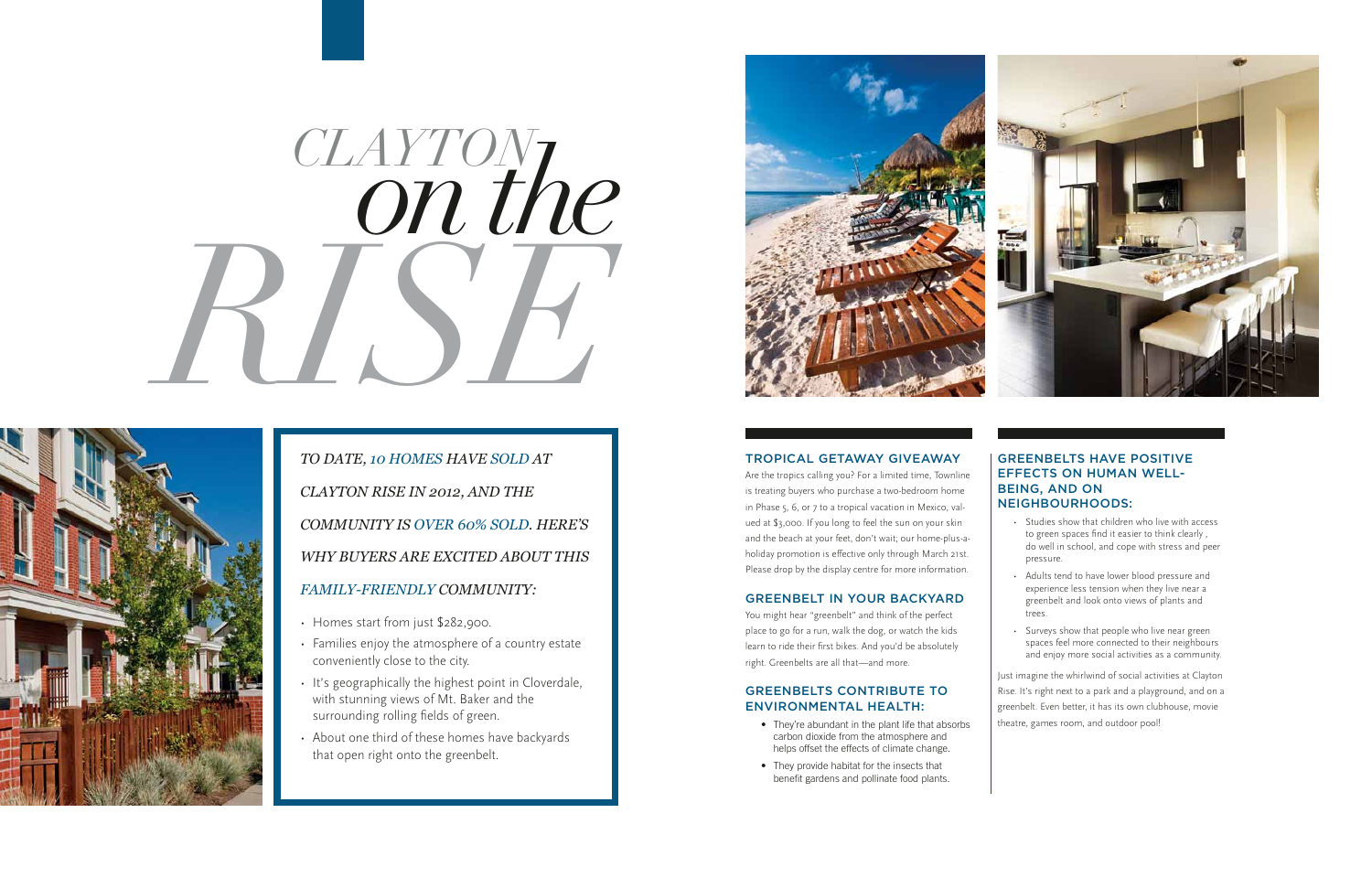*To date, 10 homes have sold at Clayton Rise in 2012, and the community is over 60% sold. Here's why buyers are excited about this family-friendly community:*

- Homes start from just \$282,900.
- Families enjoy the atmosphere of a country estate conveniently close to the city.
- It's geographically the highest point in Cloverdale, with stunning views of Mt. Baker and the surrounding rolling fields of green.
- About one third of these homes have backyards that open right onto the greenbelt.



# *on the RISE Clayton*



# Tropical Getaway Giveaway

- They're abundant in the plant life that absorbs carbon dioxide from the atmosphere and helps offset the effects of climate change.
- They provide habitat for the insects that benefit gardens and pollinate food plants.



Are the tropics calling you? For a limited time, Townline is treating buyers who purchase a two-bedroom home in Phase 5, 6, or 7 to a tropical vacation in Mexico, valued at \$3,000. If you long to feel the sun on your skin and the beach at your feet, don't wait; our home-plus-aholiday promotion is effective only through March 21st. Please drop by the display centre for more information.

# greenbelt in your backyard

You might hear "greenbelt" and think of the perfect place to go for a run, walk the dog, or watch the kids learn to ride their first bikes. And you'd be absolutely right. Greenbelts are all that—and more.

# Greenbelts Contribute to Environmental Health:

### Greenbelts have positive effects on human wellbeing, and on neighbourhoods:

- • Studies show that children who live with access to green spaces find it easier to think clearly , do well in school, and cope with stress and peer pressure.
- • Adults tend to have lower blood pressure and experience less tension when they live near a greenbelt and look onto views of plants and trees.
- Surveys show that people who live near green spaces feel more connected to their neighbours and enjoy more social activities as a community.

Just imagine the whirlwind of social activities at Clayton Rise. It's right next to a park and a playground, and on a greenbelt. Even better, it has its own clubhouse, movie theatre, games room, and outdoor pool!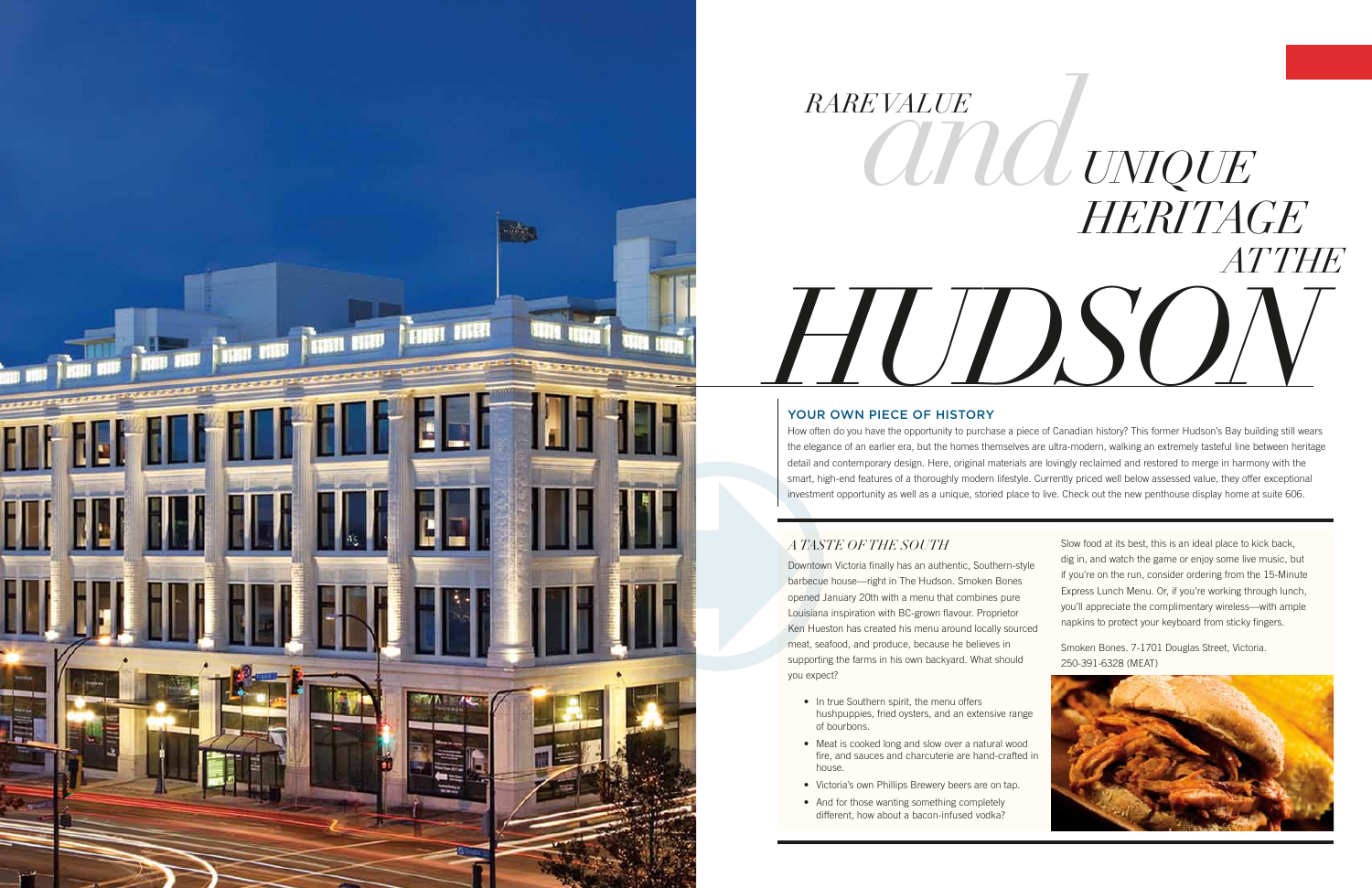



# YOUR OWN PIECE OF HISTORY

How often do you have the opportunity to purchase a piece of Canadian history? This former Hudson's Bay building still wears the elegance of an earlier era, but the homes themselves are ultra-modern, walking an extremely tasteful line between heritage detail and contemporary design. Here, original materials are lovingly reclaimed and restored to merge in harmony with the smart, high-end features of a thoroughly modern lifestyle. Currently priced well below assessed value, they offer exceptional investment opportunity as well as a unique, storied place to live. Check out the new penthouse display home at suite 606.

# *ATaste of the South*

- In true Southern spirit, the menu offers hushpuppies, fried oysters, and an extensive range of bourbons.
- Meat is cooked long and slow over a natural wood fire, and sauces and charcuterie are hand-crafted in house.
- Victoria's own Phillips Brewery beers are on tap.
- And for those wanting something completely different, how about a bacon-infused vodka?

Downtown Victoria finally has an authentic, Southern-style barbecue house—right in The Hudson. Smoken Bones opened January 20th with a menu that combines pure Louisiana inspiration with BC-grown flavour. Proprietor Ken Hueston has created his menu around locally sourced meat, seafood, and produce, because he believes in supporting the farms in his own backyard. What should you expect?

Slow food at its best, this is an ideal place to kick back, dig in, and watch the game or enjoy some live music, but if you're on the run, consider ordering from the 15-Minute Express Lunch Menu. Or, if you're working through lunch, you'll appreciate the complimentary wireless—with ample napkins to protect your keyboard from sticky fingers.

Smoken Bones. 7-1701 Douglas Street, Victoria. 250-391-6328 (MEAT)

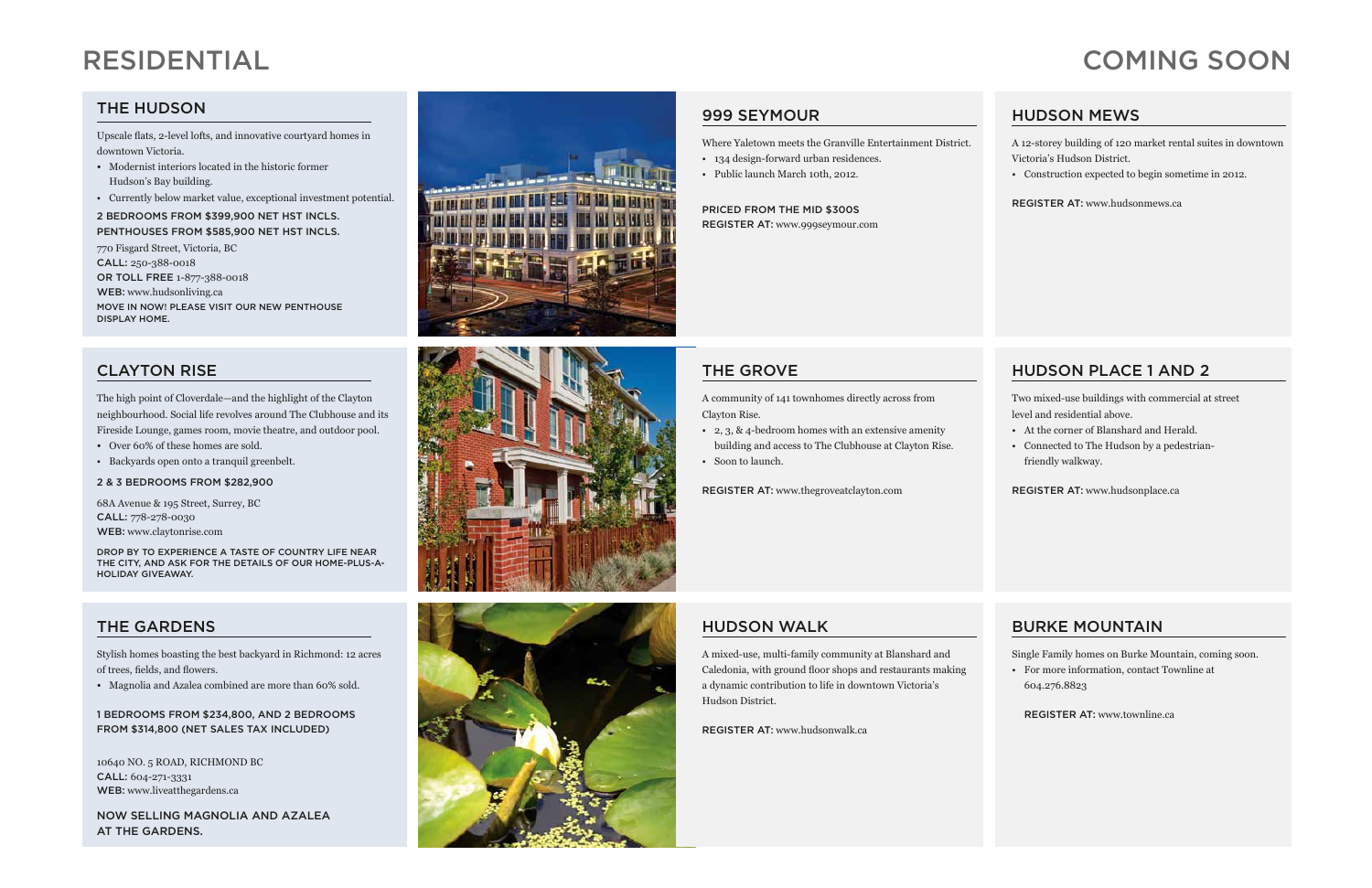Upscale flats, 2-level lofts, and innovative courtyard homes in downtown Victoria.

- Modernist interiors located in the historic former Hudson's Bay building.
- Currently below market value, exceptional investment potential.

2 bedrooms from \$399,900 net HST incls. Penthouses from \$585,900 net HST incls.

770 Fisgard Street, Victoria, BC CALL: 250-388-0018 or toll free 1-877-388-0018 WEB: www.hudsonliving.ca Move In Now! Please visit our new penthouse display home.

# clayton rise

The high point of Cloverdale—and the highlight of the Clayton neighbourhood. Social life revolves around The Clubhouse and its Fireside Lounge, games room, movie theatre, and outdoor pool.

10640 No. 5 Road, Richmond BC CALL: 604-271-3331 WEB: www.liveatthegardens.ca

- Over 60% of these homes are sold.
- Backyards open onto a tranquil greenbelt.

### 2 & 3 bedrooms from \$282,900

68A Avenue & 195 Street, Surrey, BC CALL: 778-278-0030 Web: www.claytonrise.com

Drop by to experience a taste of country life near the city, and ask for the details of our Home-Plus-a-Holiday giveaway.

# **THE GARDENS**

Stylish homes boasting the best backyard in Richmond: 12 acres of trees, fields, and flowers.

• Magnolia and Azalea combined are more than 60% sold.

1 BEDROOMS from \$234,800, AND 2 BEDROOMS FROM \$314,800 (NET SALES TAX INCLUDED)

NOW SELLING MAGNOLIA AND AZALEA AT THE GARDENS.



# Residential

# **THE HUDSON**

999 Seymour

Where Yaletown meets the Granville Entertainment District.

• 134 design-forward urban residences. • Public launch March 10th, 2012.

Priced from THE MID \$300S





# REGISTER AT: www.999seymour.com

# HUDSON MEWS

A 12-storey building of 120 market rental suites in downtown Victoria's Hudson District.

• Construction expected to begin sometime in 2012.

REGISTER AT: www.hudsonmews.ca

# the gROVE

A community of 141 townhomes directly across from Clayton Rise.

• 2, 3, & 4-bedroom homes with an extensive amenity building and access to The Clubhouse at Clayton Rise.

• Soon to launch.

REGISTER AT: www.thegroveatclayton.com

# HUDSON PLACE 1 AND 2

Two mixed-use buildings with commercial at street level and residential above.

- At the corner of Blanshard and Herald.
- Connected to The Hudson by a pedestrianfriendly walkway.

REGISTER AT: www.hudsonplace.ca

# HUDSON WALK

A mixed-use, multi-family community at Blanshard and Caledonia, with ground floor shops and restaurants making a dynamic contribution to life in downtown Victoria's Hudson District.

REGISTER AT: www.hudsonwalk.ca

# BURKE MOUNTAIN

Single Family homes on Burke Mountain, coming soon.

• For more information, contact Townline at 604.276.8823

REGISTER AT: www.townline.ca

# cOMING SOON